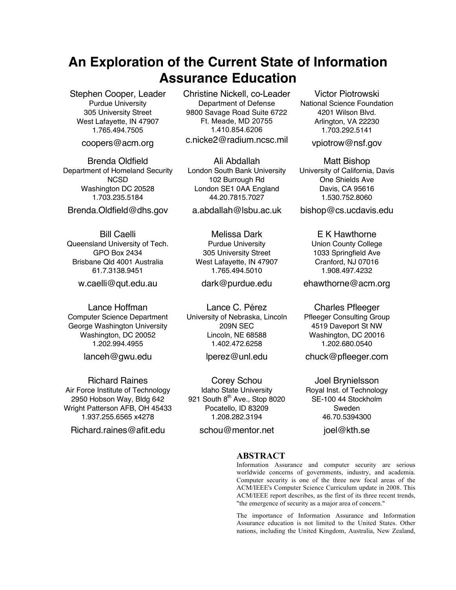# **An Exploration of the Current State of Information Assurance Education**

Stephen Cooper, Leader Purdue University 305 University Street West Lafayette, IN 47907 1.765.494.7505

coopers@acm.org

Brenda Oldfield Department of Homeland Security NCSD Washington DC 20528 1.703.235.5184

Brenda.Oldfield@dhs.gov

Bill Caelli Queensland University of Tech. GPO Box 2434 Brisbane Qld 4001 Australia 61.7.3138.9451

w.caelli@qut.edu.au

Lance Hoffman Computer Science Department George Washington University Washington, DC 20052 1.202.994.4955

lanceh@gwu.edu

Richard Raines Air Force Institute of Technology 2950 Hobson Way, Bldg 642 Wright Patterson AFB, OH 45433 1.937.255.6565 x4278

Richard.raines@afit.edu

Christine Nickell, co-Leader Department of Defense 9800 Savage Road Suite 6722 Ft. Meade, MD 20755 1.410.854.6206 c.nicke2@radium.ncsc.mil

Ali Abdallah London South Bank University 102 Burrough Rd London SE1 0AA England 44.20.7815.7027

a.abdallah@lsbu.ac.uk

Melissa Dark Purdue University 305 University Street West Lafayette, IN 47907 1.765.494.5010

dark@purdue.edu

Lance C. Pérez University of Nebraska, Lincoln 209N SEC Lincoln, NE 68588 1.402.472.6258

lperez@unl.edu

Corey Schou Idaho State University 921 South  $8<sup>th</sup>$  Ave., Stop 8020 Pocatello, ID 83209 1.208.282.3194

schou@mentor.net

Victor Piotrowski National Science Foundation 4201 Wilson Blvd. Arlington, VA 22230 1.703.292.5141

vpiotrow@nsf.gov

Matt Bishop University of California, Davis One Shields Ave Davis, CA 95616 1.530.752.8060

bishop@cs.ucdavis.edu

E K Hawthorne Union County College 1033 Springfield Ave Cranford, NJ 07016 1.908.497.4232

ehawthorne@acm.org

Charles Pfleeger Pfleeger Consulting Group 4519 Daveport St NW Washington, DC 20016 1.202.680.0540

chuck@pfleeger.com

Joel Brynielsson Royal Inst. of Technology SE-100 44 Stockholm Sweden 46.70.5394300

joel@kth.se

# **ABSTRACT**

Information Assurance and computer security are serious worldwide concerns of governments, industry, and academia. Computer security is one of the three new focal areas of the ACM/IEEE's Computer Science Curriculum update in 2008. This ACM/IEEE report describes, as the first of its three recent trends, "the emergence of security as a major area of concern."

The importance of Information Assurance and Information Assurance education is not limited to the United States. Other nations, including the United Kingdom, Australia, New Zealand,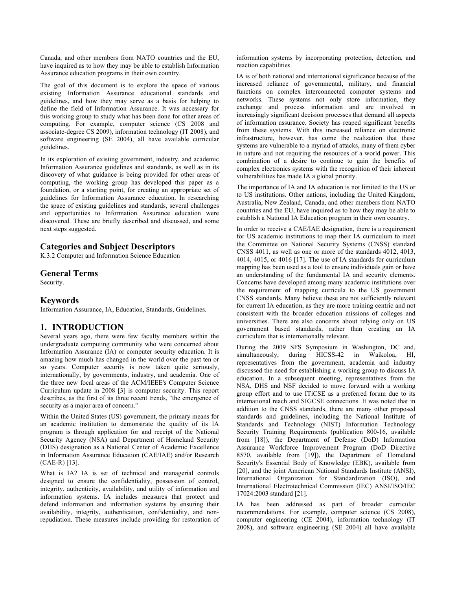Canada, and other members from NATO countries and the EU, have inquired as to how they may be able to establish Information Assurance education programs in their own country.

The goal of this document is to explore the space of various existing Information Assurance educational standards and guidelines, and how they may serve as a basis for helping to define the field of Information Assurance. It was necessary for this working group to study what has been done for other areas of computing. For example, computer science (CS 2008 and associate-degree CS 2009), information technology (IT 2008), and software engineering (SE 2004), all have available curricular guidelines.

In its exploration of existing government, industry, and academic Information Assurance guidelines and standards, as well as in its discovery of what guidance is being provided for other areas of computing, the working group has developed this paper as a foundation, or a starting point, for creating an appropriate set of guidelines for Information Assurance education. In researching the space of existing guidelines and standards, several challenges and opportunities to Information Assurance education were discovered. These are briefly described and discussed, and some next steps suggested.

### **Categories and Subject Descriptors**

K.3.2 Computer and Information Science Education

### **General Terms**

Security.

### **Keywords**

Information Assurance, IA, Education, Standards, Guidelines.

# **1. INTRODUCTION**

Several years ago, there were few faculty members within the undergraduate computing community who were concerned about Information Assurance (IA) or computer security education. It is amazing how much has changed in the world over the past ten or so years. Computer security is now taken quite seriously, internationally, by governments, industry, and academia. One of the three new focal areas of the ACM/IEEE's Computer Science Curriculum update in 2008 [3] is computer security. This report describes, as the first of its three recent trends, "the emergence of security as a major area of concern."

Within the United States (US) government, the primary means for an academic institution to demonstrate the quality of its IA program is through application for and receipt of the National Security Agency (NSA) and Department of Homeland Security (DHS) designation as a National Center of Academic Excellence in Information Assurance Education (CAE/IAE) and/or Research (CAE-R) [13].

What is IA? IA is set of technical and managerial controls designed to ensure the confidentiality, possession of control, integrity, authenticity, availability, and utility of information and information systems. IA includes measures that protect and defend information and information systems by ensuring their availability, integrity, authentication, confidentiality, and nonrepudiation. These measures include providing for restoration of

information systems by incorporating protection, detection, and reaction capabilities.

IA is of both national and international significance because of the increased reliance of governmental, military, and financial functions on complex interconnected computer systems and networks. These systems not only store information, they exchange and process information and are involved in increasingly significant decision processes that demand all aspects of information assurance. Society has reaped significant benefits from these systems. With this increased reliance on electronic infrastructure, however, has come the realization that these systems are vulnerable to a myriad of attacks, many of them cyber in nature and not requiring the resources of a world power. This combination of a desire to continue to gain the benefits of complex electronics systems with the recognition of their inherent vulnerabilities has made IA a global priority.

The importance of IA and IA education is not limited to the US or to US institutions. Other nations, including the United Kingdom, Australia, New Zealand, Canada, and other members from NATO countries and the EU, have inquired as to how they may be able to establish a National IA Education program in their own country.

In order to receive a CAE/IAE designation, there is a requirement for US academic institutions to map their IA curriculum to meet the Committee on National Security Systems (CNSS) standard CNSS 4011, as well as one or more of the standards 4012, 4013, 4014, 4015, or 4016 [17]. The use of IA standards for curriculum mapping has been used as a tool to ensure individuals gain or have an understanding of the fundamental IA and security elements. Concerns have developed among many academic institutions over the requirement of mapping curricula to the US government CNSS standards. Many believe these are not sufficiently relevant for current IA education, as they are more training centric and not consistent with the broader education missions of colleges and universities. There are also concerns about relying only on US government based standards, rather than creating an IA curriculum that is internationally relevant.

During the 2009 SFS Symposium in Washington, DC and, simultaneously, during HICSS-42 in Waikoloa, HI, representatives from the government, academia and industry discussed the need for establishing a working group to discuss IA education. In a subsequent meeting, representatives from the NSA, DHS and NSF decided to move forward with a working group effort and to use ITiCSE as a preferred forum due to its international reach and SIGCSE connections. It was noted that in addition to the CNSS standards, there are many other proposed standards and guidelines, including the National Institute of Standards and Technology (NIST) Information Technology Security Training Requirements (publication 800-16, available from [18]), the Department of Defense (DoD) Information Assurance Workforce Improvement Program (DoD Directive 8570, available from [19]), the Department of Homeland Security's Essential Body of Knowledge (EBK), available from [20], and the joint American National Standards Institute (ANSI), International Organization for Standardization (ISO), and International Electrotechnical Commission (IEC) ANSI/ISO/IEC 17024:2003 standard [21].

IA has been addressed as part of broader curricular recommendations. For example, computer science (CS 2008), computer engineering (CE 2004), information technology (IT 2008), and software engineering (SE 2004) all have available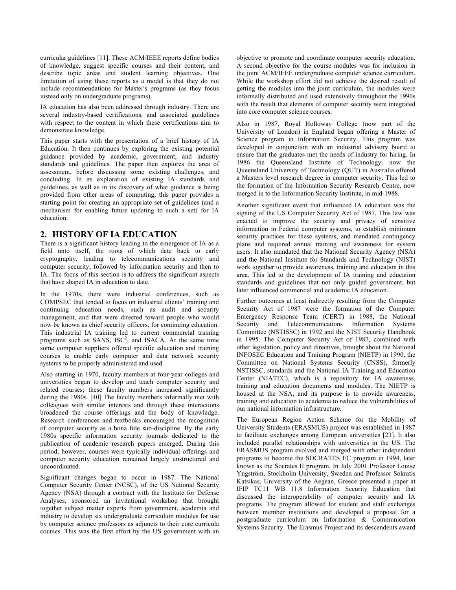curricular guidelines [11]. These ACM/IEEE reports define bodies of knowledge, suggest specific courses and their content, and describe topic areas and student learning objectives. One limitation of using these reports as a model is that they do not include recommendations for Master's programs (as they focus instead only on undergraduate programs).

IA education has also been addressed through industry. There are several industry-based certifications, and associated guidelines with respect to the content in which these certifications aim to demonstrate knowledge.

This paper starts with the presentation of a brief history of IA Education. It then continues by exploring the existing potential guidance provided by academic, government, and industry standards and guidelines. The paper then explores the area of assessment, before discussing some existing challenges, and concluding. In its exploration of existing IA standards and guidelines, as well as in its discovery of what guidance is being provided from other areas of computing, this paper provides a starting point for creating an appropriate set of guidelines (and a mechanism for enabling future updating to such a set) for IA education.

# **2. HISTORY OF IA EDUCATION**

There is a significant history leading to the emergence of IA as a field unto itself, the roots of which date back to early cryptography, leading to telecommunications security and computer security, followed by information security and then to IA. The focus of this section is to address the significant aspects that have shaped IA in education to date.

In the 1970s, there were industrial conferences, such as COMPSEC that tended to focus on industrial clients' training and continuing education needs, such as audit and security management, and that were directed toward people who would now be known as chief security officers, for continuing education. This industrial IA training led to current commercial training programs such as SANS,  $ISC^2$ , and ISACA. At the same time some computer suppliers offered specific education and training courses to enable early computer and data network security systems to be properly administered and used.

Also starting in 1970, faculty members at four-year colleges and universities began to develop and teach computer security and related courses; these faculty numbers increased significantly during the 1980s. [40] The faculty members informally met with colleagues with similar interests and through these interactions broadened the course offerings and the body of knowledge. Research conferences and textbooks encouraged the recognition of computer security as a bona fide sub-discipline. By the early 1980s specific information security journals dedicated to the publication of academic research papers emerged. During this period, however, courses were typically individual offerings and computer security education remained largely unstructured and uncoordinated.

Significant changes began to occur in 1987. The National Computer Security Center (NCSC), of the US National Security Agency (NSA) through a contract with the Institute for Defense Analyses, sponsored an invitational workshop that brought together subject matter experts from government, academia and industry to develop six undergraduate curriculum modules for use by computer science professors as adjuncts to their core curricula courses. This was the first effort by the US government with an

objective to promote and coordinate computer security education. A second objective for the course modules was for inclusion in the joint ACM/IEEE undergraduate computer science curriculum. While the workshop effort did not achieve the desired result of getting the modules into the joint curriculum, the modules were informally distributed and used extensively throughout the 1990s with the result that elements of computer security were integrated into core computer science courses.

Also in 1987, Royal Holloway College (now part of the University of London) in England began offering a Master of Science program in Information Security. This program was developed in conjunction with an industrial advisory board to ensure that the graduates met the needs of industry for hiring. In 1986 the Queensland Institute of Technology, now the Queensland University of Technology (QUT) in Australia offered a Masters level research degree in computer security. This led to the formation of the Information Security Research Centre, now merged in to the Information Security Institute, in mid-1988.

Another significant event that influenced IA education was the signing of the US Computer Security Act of 1987. This law was enacted to improve the security and privacy of sensitive information in Federal computer systems, to establish minimum security practices for these systems, and mandated contingency plans and required annual training and awareness for system users. It also mandated that the National Security Agency (NSA) and the National Institute for Standards and Technology (NIST) work together to provide awareness, training and education in this area. This led to the development of IA training and education standards and guidelines that not only guided government, but later influenced commercial and academic IA education.

Further outcomes at least indirectly resulting from the Computer Security Act of 1987 were the formation of the Computer Emergency Response Team (CERT) in 1988, the National Security and Telecommunications Information Systems Committee (NSTISSC) in 1992 and the NIST Security Handbook in 1995. The Computer Security Act of 1987, combined with other legislation, policy and directives, brought about the National INFOSEC Education and Training Program (NIETP) in 1990, the Committee on National Systems Security (CNSS), formerly NSTISSC, standards and the National IA Training and Education Center (NIATEC), which is a repository for IA awareness, training and education documents and modules. The NIETP is housed at the NSA, and its purpose is to provide awareness, training and education to academia to reduce the vulnerabilities of our national information infrastructure.

The European Region Action Scheme for the Mobility of University Students (ERASMUS) project was established in 1987 to facilitate exchanges among European universities [23]. It also included parallel relationships with universities in the US. The ERASMUS program evolved and merged with other independent programs to become the SOCRATES EC program in 1994, later known as the Socrates II program. In July 2001 Professor Louise Yngström, Stockholm University, Sweden and Professor Sokratis Katsikas, University of the Aegean, Greece presented a paper at IFIP TC11 WB 11.8 Information Security Education that discussed the interoperability of computer security and IA programs. The program allowed for student and staff exchanges between member institutions and developed a proposal for a postgraduate curriculum on Information & Communication Systems Security. The Erasmus Project and its descendents award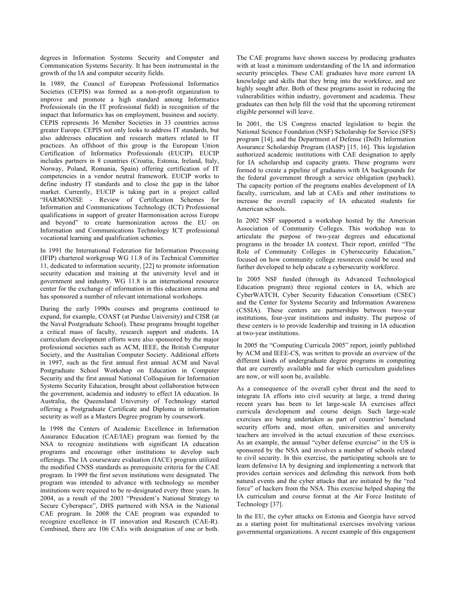degrees in Information Systems Security and Computer and Communication Systems Security. It has been instrumental in the growth of the IA and computer security fields.

In 1989, the Council of European Professional Informatics Societies (CEPIS) was formed as a non-profit organization to improve and promote a high standard among Informatics Professionals (in the IT professional field) in recognition of the impact that Informatics has on employment, business and society. CEPIS represents 36 Member Societies in 33 countries across greater Europe. CEPIS not only looks to address IT standards, but also addresses education and research matters related to IT practices. An offshoot of this group is the European Union Certification of Informatics Professionals (EUCIP). EUCIP includes partners in 8 countries (Croatia, Estonia, Ireland, Italy, Norway, Poland, Romania, Spain) offering certification of IT competencies in a vendor neutral framework. EUCIP works to define industry IT standards and to close the gap in the labor market. Currently, EUCIP is taking part in a project called "HARMONISE - Review of Certification Schemes for Information and Communications Technology (ICT) Professional qualifications in support of greater Harmonisation across Europe and beyond" to create harmonization across the EU on Information and Communications Technology ICT professional vocational learning and qualification schemes.

In 1991 the International Federation for Information Processing (IFIP) chartered workgroup WG 11.8 of its Technical Committee 11, dedicated to information security, [22] to promote information security education and training at the university level and in government and industry. WG 11.8 is an international resource center for the exchange of information in this education arena and has sponsored a number of relevant international workshops.

During the early 1990s courses and programs continued to expand, for example, COAST (at Purdue University) and CISR (at the Naval Postgraduate School). These programs brought together a critical mass of faculty, research support and students. IA curriculum development efforts were also sponsored by the major professional societies such as ACM, IEEE, the British Computer Society, and the Australian Computer Society. Additional efforts in 1997, such as the first annual first annual ACM and Naval Postgraduate School Workshop on Education in Computer Security and the first annual National Colloquium for Information Systems Security Education, brought about collaboration between the government, academia and industry to effect IA education. In Australia, the Queensland University of Technology started offering a Postgraduate Certificate and Diploma in information security as well as a Masters Degree program by coursework.

In 1998 the Centers of Academic Excellence in Information Assurance Education (CAE/IAE) program was formed by the NSA to recognize institutions with significant IA education programs and encourage other institutions to develop such offerings. The IA courseware evaluation (IACE) program utilized the modified CNSS standards as prerequisite criteria for the CAE program. In 1999 the first seven institutions were designated. The program was intended to advance with technology so member institutions were required to be re-designated every three years. In 2004, as a result of the 2003 "President's National Strategy to Secure Cyberspace", DHS partnered with NSA in the National CAE program. In 2008 the CAE program was expanded to recognize excellence in IT innovation and Research (CAE-R). Combined, there are 106 CAEs with designation of one or both.

The CAE programs have shown success by producing graduates with at least a minimum understanding of the IA and information security principles. These CAE graduates have more current IA knowledge and skills that they bring into the workforce, and are highly sought after. Both of these programs assist in reducing the vulnerabilities within industry, government and academia. These graduates can then help fill the void that the upcoming retirement eligible personnel will leave.

In 2001, the US Congress enacted legislation to begin the National Science Foundation (NSF) Scholarship for Service (SFS) program [14], and the Department of Defense (DoD) Information Assurance Scholarship Program (IASP) [15, 16]. This legislation authorized academic institutions with CAE designation to apply for IA scholarship and capacity grants. These programs were formed to create a pipeline of graduates with IA backgrounds for the federal government through a service obligation (payback). The capacity portion of the programs enables development of IA faculty, curriculum, and lab at CAEs and other institutions to increase the overall capacity of IA educated students for American schools.

In 2002 NSF supported a workshop hosted by the American Association of Community Colleges. This workshop was to articulate the purpose of two-year degrees and educational programs in the broader IA context. Their report, entitled "The Role of Community Colleges in Cybersecurity Education," focused on how community college resources could be used and further developed to help educate a cybersecurity workforce.

In 2005 NSF funded (through its Advanced Technological Education program) three regional centers in IA, which are CyberWATCH, Cyber Security Education Consortium (CSEC) and the Center for Systems Security and Information Awareness (CSSIA). These centers are partnerships between two-year institutions, four-year institutions and industry. The purpose of these centers is to provide leadership and training in IA education at two-year institutions.

In 2005 the "Computing Curricula 2005" report, jointly published by ACM and IEEE-CS, was written to provide an overview of the different kinds of undergraduate degree programs in computing that are currently available and for which curriculum guidelines are now, or will soon be, available.

As a consequence of the overall cyber threat and the need to integrate IA efforts into civil security at large, a trend during recent years has been to let large-scale IA exercises affect curricula development and course design. Such large-scale exercises are being undertaken as part of countries' homeland security efforts and, most often, universities and university teachers are involved in the actual execution of these exercises. As an example, the annual "cyber defense exercise" in the US is sponsored by the NSA and involves a number of schools related to civil security. In this exercise, the participating schools are to learn defensive IA by designing and implementing a network that provides certain services and defending this network from both natural events and the cyber attacks that are initiated by the "red force" of hackers from the NSA. This exercise helped shaping the IA curriculum and course format at the Air Force Institute of Technology [37].

In the EU, the cyber attacks on Estonia and Georgia have served as a starting point for multinational exercises involving various governmental organizations. A recent example of this engagement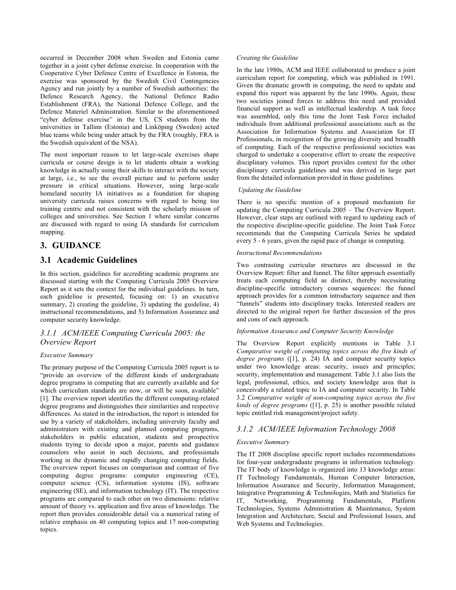occurred in December 2008 when Sweden and Estonia came together in a joint cyber defense exercise. In cooperation with the Cooperative Cyber Defence Centre of Excellence in Estonia, the exercise was sponsored by the Swedish Civil Contingencies Agency and run jointly by a number of Swedish authorities: the Defence Research Agency, the National Defence Radio Establishment (FRA), the National Defence College, and the Defence Materiel Administration. Similar to the aforementioned "cyber defense exercise" in the US, CS students from the universities in Tallinn (Estonia) and Linköping (Sweden) acted blue teams while being under attack by the FRA (roughly, FRA is the Swedish equivalent of the NSA).

The most important reason to let large-scale exercises shape curricula or course design is to let students obtain a working knowledge in actually using their skills to interact with the society at large, i.e., to see the overall picture and to perform under pressure in critical situations. However, using large-scale homeland security IA initiatives as a foundation for shaping university curricula raises concerns with regard to being too training centric and not consistent with the scholarly mission of colleges and universities. See Section 1 where similar concerns are discussed with regard to using IA standards for curriculum mapping.

# **3. GUIDANCE**

# **3.1 Academic Guidelines**

In this section, guidelines for accrediting academic programs are discussed starting with the Computing Curricula 2005 Overview Report as it sets the context for the individual guidelines. In turn, each guideline is presented, focusing on: 1) an executive summary, 2) creating the guideline, 3) updating the guideline, 4) instructional recommendations, and 5) Information Assurance and computer security knowledge.

### *3.1.1 ACM/IEEE Computing Curricula 2005: the Overview Report*

### *Executive Summary*

The primary purpose of the Computing Curricula 2005 report is to "provide an overview of the different kinds of undergraduate degree programs in computing that are currently available and for which curriculum standards are now, or will be soon, available" [1]. The overview report identifies the different computing-related degree programs and distinguishes their similarities and respective differences. As stated in the introduction, the report is intended for use by a variety of stakeholders, including university faculty and administrators with existing and planned computing programs, stakeholders in public education, students and prospective students trying to decide upon a major, parents and guidance counselors who assist in such decisions, and professionals working in the dynamic and rapidly changing computing fields. The overview report focuses on comparison and contrast of five computing degree programs: computer engineering (CE), computer science (CS), information systems (IS), software engineering (SE), and information technology (IT). The respective programs are compared to each other on two dimensions: relative amount of theory vs. application and five areas of knowledge. The report then provides considerable detail via a numerical rating of relative emphasis on 40 computing topics and 17 non-computing topics.

#### *Creating the Guideline*

In the late 1980s, ACM and IEEE collaborated to produce a joint curriculum report for computing, which was published in 1991. Given the dramatic growth in computing, the need to update and expand this report was apparent by the late 1990s. Again, these two societies joined forces to address this need and provided financial support as well as intellectual leadership. A task force was assembled, only this time the Joint Task Force included individuals from additional professional associations such as the Association for Information Systems and Association for IT Professionals, in recognition of the growing diversity and breadth of computing. Each of the respective professional societies was charged to undertake a cooperative effort to create the respective disciplinary volumes. This report provides context for the other disciplinary curricula guidelines and was derived in large part from the detailed information provided in those guidelines.

### *Updating the Guideline*

There is no specific mention of a proposed mechanism for updating the Computing Curricula 2005 – The Overview Report. However, clear steps are outlined with regard to updating each of the respective discipline-specific guideline. The Joint Task Force recommends that the Computing Curricula Series be updated every 5 - 6 years, given the rapid pace of change in computing.

#### *Instructional Recommendations*

Two contrasting curricular structures are discussed in the Overview Report: filter and funnel. The filter approach essentially treats each computing field as distinct, thereby necessitating discipline-specific introductory courses sequences: the funnel approach provides for a common introductory sequence and then "funnels" students into disciplinary tracks. Interested readers are directed to the original report for further discussion of the pros and cons of each approach.

#### *Information Assurance and Computer Security Knowledge*

The Overview Report explicitly mentions in Table 3.1 *Comparative weight of computing topics across the five kinds of degree programs* ([1], p. 24) IA and computer security topics under two knowledge areas: security, issues and principles; security, implementation and management. Table 3.1 also lists the legal, professional, ethics, and society knowledge area that is conceivably a related topic to IA and computer security. In Table 3.2 *Comparative weight of non-computing topics across the five kinds of degree programs* ([1], p. 25) is another possible related topic entitled risk management/project safety.

## *3.1.2 ACM/IEEE Information Technology 2008*

#### *Executive Summary*

The IT 2008 discipline specific report includes recommendations for four-year undergraduate programs in information technology. The IT body of knowledge is organized into 13 knowledge areas: IT Technology Fundamentals, Human Computer Interaction, Information Assurance and Security, Information Management, Integrative Programming & Technologies, Math and Statistics for IT, Networking, Programming Fundamentals, Platform Technologies, Systems Administration & Maintenance, System Integration and Architecture, Social and Professional Issues, and Web Systems and Technologies.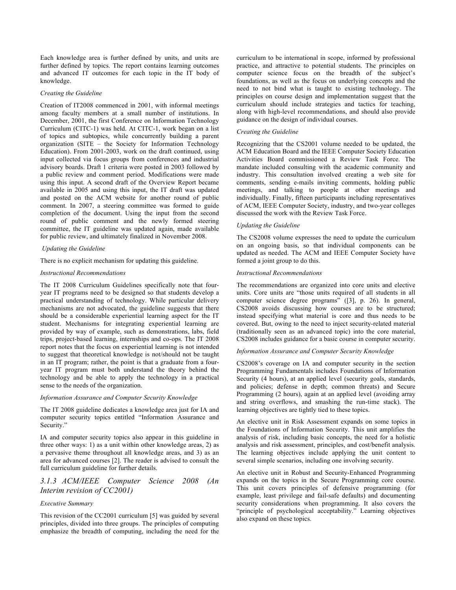Each knowledge area is further defined by units, and units are further defined by topics. The report contains learning outcomes and advanced IT outcomes for each topic in the IT body of knowledge.

#### *Creating the Guideline*

Creation of IT2008 commenced in 2001, with informal meetings among faculty members at a small number of institutions. In December, 2001, the first Conference on Information Technology Curriculum (CITC-1) was held. At CITC-1, work began on a list of topics and subtopics, while concurrently building a parent organization (SITE – the Society for Information Technology Education). From 2001-2003, work on the draft continued, using input collected via focus groups from conferences and industrial advisory boards. Draft 1 criteria were posted in 2003 followed by a public review and comment period. Modifications were made using this input. A second draft of the Overview Report became available in 2005 and using this input, the IT draft was updated and posted on the ACM website for another round of public comment. In 2007, a steering committee was formed to guide completion of the document. Using the input from the second round of public comment and the newly formed steering committee, the IT guideline was updated again, made available for public review, and ultimately finalized in November 2008.

#### *Updating the Guideline*

There is no explicit mechanism for updating this guideline.

#### *Instructional Recommendations*

The IT 2008 Curriculum Guidelines specifically note that fouryear IT programs need to be designed so that students develop a practical understanding of technology. While particular delivery mechanisms are not advocated, the guideline suggests that there should be a considerable experiential learning aspect for the IT student. Mechanisms for integrating experiential learning are provided by way of example, such as demonstrations, labs, field trips, project-based learning, internships and co-ops. The IT 2008 report notes that the focus on experiential learning is not intended to suggest that theoretical knowledge is not/should not be taught in an IT program; rather, the point is that a graduate from a fouryear IT program must both understand the theory behind the technology and be able to apply the technology in a practical sense to the needs of the organization.

#### *Information Assurance and Computer Security Knowledge*

The IT 2008 guideline dedicates a knowledge area just for IA and computer security topics entitled "Information Assurance and Security."

IA and computer security topics also appear in this guideline in three other ways: 1) as a unit within other knowledge areas, 2) as a pervasive theme throughout all knowledge areas, and 3) as an area for advanced courses [2]. The reader is advised to consult the full curriculum guideline for further details.

# *3.1.3 ACM/IEEE Computer Science 2008 (An Interim revision of CC2001)*

#### *Executive Summary*

This revision of the CC2001 curriculum [5] was guided by several principles, divided into three groups. The principles of computing emphasize the breadth of computing, including the need for the

curriculum to be international in scope, informed by professional practice, and attractive to potential students. The principles on computer science focus on the breadth of the subject's foundations, as well as the focus on underlying concepts and the need to not bind what is taught to existing technology. The principles on course design and implementation suggest that the curriculum should include strategies and tactics for teaching, along with high-level recommendations, and should also provide guidance on the design of individual courses.

#### *Creating the Guideline*

Recognizing that the CS2001 volume needed to be updated, the ACM Education Board and the IEEE Computer Society Education Activities Board commissioned a Review Task Force. The mandate included consulting with the academic community and industry. This consultation involved creating a web site for comments, sending e-mails inviting comments, holding public meetings, and talking to people at other meetings and individually. Finally, fifteen participants including representatives of ACM, IEEE Computer Society, industry, and two-year colleges discussed the work with the Review Task Force.

#### *Updating the Guideline*

The CS2008 volume expresses the need to update the curriculum on an ongoing basis, so that individual components can be updated as needed. The ACM and IEEE Computer Society have formed a joint group to do this.

#### *Instructional Recommendations*

The recommendations are organized into core units and elective units. Core units are "those units required of all students in all computer science degree programs" ([3], p. 26). In general, CS2008 avoids discussing how courses are to be structured; instead specifying what material is core and thus needs to be covered. But, owing to the need to inject security-related material (traditionally seen as an advanced topic) into the core material, CS2008 includes guidance for a basic course in computer security.

#### *Information Assurance and Computer Security Knowledge*

CS2008's coverage on IA and computer security in the section Programming Fundamentals includes Foundations of Information Security (4 hours), at an applied level (security goals, standards, and policies; defense in depth; common threats) and Secure Programming (2 hours), again at an applied level (avoiding array and string overflows, and smashing the run-time stack). The learning objectives are tightly tied to these topics.

An elective unit in Risk Assessment expands on some topics in the Foundations of Information Security. This unit amplifies the analysis of risk, including basic concepts, the need for a holistic analysis and risk assessment, principles, and cost/benefit analysis. The learning objectives include applying the unit content to several simple scenarios, including one involving security.

An elective unit in Robust and Security-Enhanced Programming expands on the topics in the Secure Programming core course. This unit covers principles of defensive programming (for example, least privilege and fail-safe defaults) and documenting security considerations when programming. It also covers the "principle of psychological acceptability." Learning objectives also expand on these topics.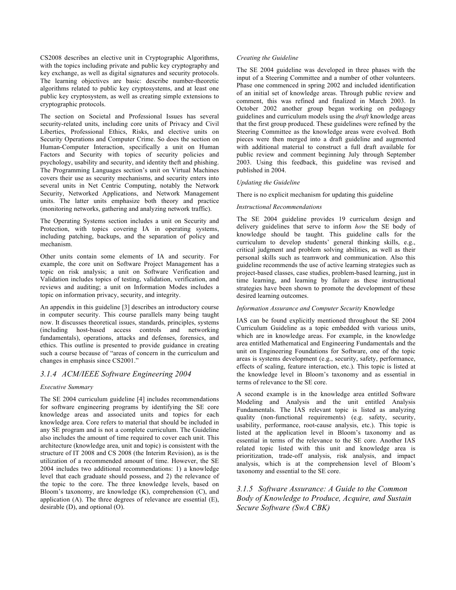CS2008 describes an elective unit in Cryptographic Algorithms, with the topics including private and public key cryptography and key exchange, as well as digital signatures and security protocols. The learning objectives are basic: describe number-theoretic algorithms related to public key cryptosystems, and at least one public key cryptosystem, as well as creating simple extensions to cryptographic protocols.

The section on Societal and Professional Issues has several security-related units, including core units of Privacy and Civil Liberties, Professional Ethics, Risks, and elective units on Security Operations and Computer Crime. So does the section on Human-Computer Interaction, specifically a unit on Human Factors and Security with topics of security policies and psychology, usability and security, and identity theft and phishing. The Programming Languages section's unit on Virtual Machines covers their use as security mechanisms, and security enters into several units in Net Centric Computing, notably the Network Security, Networked Applications, and Network Management units. The latter units emphasize both theory and practice (monitoring networks, gathering and analyzing network traffic).

The Operating Systems section includes a unit on Security and Protection, with topics covering IA in operating systems, including patching, backups, and the separation of policy and mechanism.

Other units contain some elements of IA and security. For example, the core unit on Software Project Management has a topic on risk analysis; a unit on Software Verification and Validation includes topics of testing, validation, verification, and reviews and auditing; a unit on Information Modes includes a topic on information privacy, security, and integrity.

An appendix in this guideline [3] describes an introductory course in computer security. This course parallels many being taught now. It discusses theoretical issues, standards, principles, systems (including host-based access controls and networking fundamentals), operations, attacks and defenses, forensics, and ethics. This outline is presented to provide guidance in creating such a course because of "areas of concern in the curriculum and changes in emphasis since CS2001."

### *3.1.4 ACM/IEEE Software Engineering 2004*

#### *Executive Summary*

The SE 2004 curriculum guideline [4] includes recommendations for software engineering programs by identifying the SE core knowledge areas and associated units and topics for each knowledge area. Core refers to material that should be included in any SE program and is not a complete curriculum. The Guideline also includes the amount of time required to cover each unit. This architecture (knowledge area, unit and topic) is consistent with the structure of IT 2008 and CS 2008 (the Interim Revision), as is the utilization of a recommended amount of time. However, the SE 2004 includes two additional recommendations: 1) a knowledge level that each graduate should possess, and 2) the relevance of the topic to the core. The three knowledge levels, based on Bloom's taxonomy, are knowledge (K), comprehension (C), and application (A). The three degrees of relevance are essential (E), desirable (D), and optional (O).

#### *Creating the Guideline*

The SE 2004 guideline was developed in three phases with the input of a Steering Committee and a number of other volunteers. Phase one commenced in spring 2002 and included identification of an initial set of knowledge areas. Through public review and comment, this was refined and finalized in March 2003. In October 2002 another group began working on pedagogy guidelines and curriculum models using the *draft* knowledge areas that the first group produced. These guidelines were refined by the Steering Committee as the knowledge areas were evolved. Both pieces were then merged into a draft guideline and augmented with additional material to construct a full draft available for public review and comment beginning July through September 2003. Using this feedback, this guideline was revised and published in 2004.

#### *Updating the Guideline*

There is no explicit mechanism for updating this guideline

#### *Instructional Recommendations*

The SE 2004 guideline provides 19 curriculum design and delivery guidelines that serve to inform *how* the SE body of knowledge should be taught. This guideline calls for the curriculum to develop students' general thinking skills, e.g., critical judgment and problem solving abilities, as well as their personal skills such as teamwork and communication. Also this guideline recommends the use of active learning strategies such as project-based classes, case studies, problem-based learning, just in time learning, and learning by failure as these instructional strategies have been shown to promote the development of these desired learning outcomes.

#### *Information Assurance and Computer Security* Knowledge

IAS can be found explicitly mentioned throughout the SE 2004 Curriculum Guideline as a topic embedded with various units, which are in knowledge areas. For example, in the knowledge area entitled Mathematical and Engineering Fundamentals and the unit on Engineering Foundations for Software, one of the topic areas is systems development (e.g., security, safety, performance, effects of scaling, feature interaction, etc.). This topic is listed at the knowledge level in Bloom's taxonomy and as essential in terms of relevance to the SE core.

A second example is in the knowledge area entitled Software Modeling and Analysis and the unit entitled Analysis Fundamentals. The IAS relevant topic is listed as analyzing quality (non-functional requirements) (e.g. safety, security, usability, performance, root-cause analysis, etc.). This topic is listed at the application level in Bloom's taxonomy and as essential in terms of the relevance to the SE core. Another IAS related topic listed with this unit and knowledge area is prioritization, trade-off analysis, risk analysis, and impact analysis, which is at the comprehension level of Bloom's taxonomy and essential to the SE core.

## *3.1.5 Software Assurance: A Guide to the Common Body of Knowledge to Produce, Acquire, and Sustain Secure Software (SwA CBK)*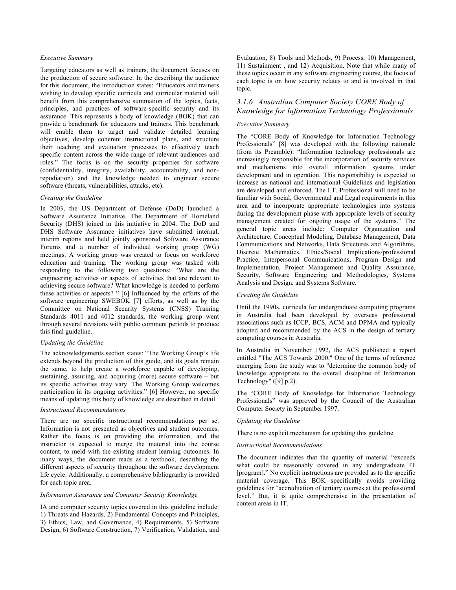#### *Executive Summary*

Targeting educators as well as trainers, the document focuses on the production of secure software. In the describing the audience for this document, the introduction states: "Educators and trainers wishing to develop specific curricula and curricular material will benefit from this comprehensive summation of the topics, facts, principles, and practices of software-specific security and its assurance. This represents a body of knowledge (BOK) that can provide a benchmark for educators and trainers. This benchmark will enable them to target and validate detailed learning objectives, develop coherent instructional plans, and structure their teaching and evaluation processes to effectively teach specific content across the wide range of relevant audiences and roles." The focus is on the security properties for software (confidentiality, integrity, availability, accountability, and nonrepudiation) and the knowledge needed to engineer secure software (threats, vulnerabilities, attacks, etc).

#### *Creating the Guideline*

In 2003, the US Department of Defense (DoD) launched a Software Assurance Initiative. The Department of Homeland Security (DHS) joined in this initiative in 2004. The DoD and DHS Software Assurance initiatives have submitted internal, interim reports and held jointly sponsored Software Assurance Forums and a number of individual working group (WG) meetings. A working group was created to focus on workforce education and training. The working group was tasked with responding to the following two questions: "What are the engineering activities or aspects of activities that are relevant to achieving secure software? What knowledge is needed to perform these activities or aspects? " [6] Influenced by the efforts of the software engineering SWEBOK [7] efforts, as well as by the Committee on National Security Systems (CNSS) Training Standards 4011 and 4012 standards, the working group went through several revisions with public comment periods to produce this final guideline.

#### *Updating the Guideline*

The acknowledgements section states: "The Working Group's life extends beyond the production of this guide, and its goals remain the same, to help create a workforce capable of developing, sustaining, assuring, and acquiring (more) secure software – but its specific activities may vary. The Working Group welcomes participation in its ongoing activities." [6] However, no specific means of updating this body of knowledge are described in detail.

#### *Instructional Recommendations*

There are no specific instructional recommendations per se. Information is not presented as objectives and student outcomes. Rather the focus is on providing the information, and the instructor is expected to merge the material into the course content, to meld with the existing student learning outcomes. In many ways, the document reads as a textbook, describing the different aspects of security throughout the software development life cycle. Additionally, a comprehensive bibliography is provided for each topic area.

#### *Information Assurance and Computer Security Knowledge*

IA and computer security topics covered in this guideline include: 1) Threats and Hazards, 2) Fundamental Concepts and Principles, 3) Ethics, Law, and Governance, 4) Requirements, 5) Software Design, 6) Software Construction, 7) Verification, Validation, and

Evaluation, 8) Tools and Methods, 9) Process, 10) Management, 11) Sustainment , and 12) Acquisition. Note that while many of these topics occur in any software engineering course, the focus of each topic is on how security relates to and is involved in that topic.

# *3.1.6 Australian Computer Society CORE Body of Knowledge for Information Technology Professionals*

### *Executive Summary*

The "CORE Body of Knowledge for Information Technology Professionals" [8] was developed with the following rationale (from its Preamble): "Information technology professionals are increasingly responsible for the incorporation of security services and mechanisms into overall information systems under development and in operation. This responsibility is expected to increase as national and international Guidelines and legislation are developed and enforced. The I.T. Professional will need to be familiar with Social, Governmental and Legal requirements in this area and to incorporate appropriate technologies into systems during the development phase with appropriate levels of security management created for ongoing usage of the systems." The general topic areas include: Computer Organization and Architecture, Conceptual Modeling, Database Management, Data Communications and Networks, Data Structures and Algorithms, Discrete Mathematics, Ethics/Social Implications/professional Practice, Interpersonal Communications, Program Design and Implementation, Project Management and Quality Assurance, Security, Software Engineering and Methodologies, Systems Analysis and Design, and Systems Software.

#### *Creating the Guideline*

Until the 1990s, curricula for undergraduate computing programs in Australia had been developed by overseas professional associations such as ICCP, BCS, ACM and DPMA and typically adopted and recommended by the ACS in the design of tertiary computing courses in Australia.

In Australia in November 1992, the ACS published a report entitled "The ACS Towards 2000." One of the terms of reference emerging from the study was to "determine the common body of knowledge appropriate to the overall discipline of Information Technology" ([9] p.2).

The "CORE Body of Knowledge for Information Technology Professionals" was approved by the Council of the Australian Computer Society in September 1997.

#### *Updating the Guideline*

There is no explicit mechanism for updating this guideline.

#### *Instructional Recommendations*

The document indicates that the quantity of material "exceeds what could be reasonably covered in any undergraduate IT [program]." No explicit instructions are provided as to the specific material coverage. This BOK specifically avoids providing guidelines for "accreditation of tertiary courses at the professional level." But, it is quite comprehensive in the presentation of content areas in IT.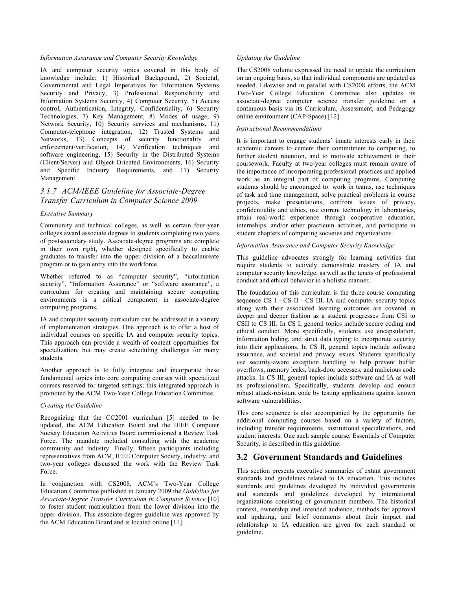#### *Information Assurance and Computer Security Knowledge*

IA and computer security topics covered in this body of knowledge include: 1) Historical Background, 2) Societal, Governmental and Legal Imperatives for Information Systems Security and Privacy, 3) Professional Responsibility and Information Systems Security, 4) Computer Security, 5) Access control, Authentication, Integrity, Confidentiality, 6) Security Technologies, 7) Key Management, 8) Modes of usage, 9) Network Security, 10) Security services and mechanisms, 11) Computer-telephone integration, 12) Trusted Systems and Networks, 13) Concepts of security functionality and enforcement/verification, 14) Verification techniques and software engineering, 15) Security in the Distributed Systems (Client/Server) and Object Oriented Environments, 16) Security and Specific Industry Requirements, and 17) Security Management.

## *3.1.7 ACM/IEEE Guideline for Associate-Degree Transfer Curriculum in Computer Science 2009*

### *Executive Summary*

Community and technical colleges, as well as certain four-year colleges award associate degrees to students completing two years of postsecondary study. Associate-degree programs are complete in their own right, whether designed specifically to enable graduates to transfer into the upper division of a baccalaureate program or to gain entry into the workforce.

Whether referred to as "computer security", "information security", "Information Assurance" or "software assurance", a curriculum for creating and maintaining secure computing environments is a critical component in associate-degree computing programs.

IA and computer security curriculum can be addressed in a variety of implementation strategies. One approach is to offer a host of individual courses on specific IA and computer security topics. This approach can provide a wealth of content opportunities for specialization, but may create scheduling challenges for many students.

Another approach is to fully integrate and incorporate these fundamental topics into core computing courses with specialized courses reserved for targeted settings; this integrated approach is promoted by the ACM Two-Year College Education Committee.

### *Creating the Guideline*

Recognizing that the CC2001 curriculum [5] needed to be updated, the ACM Education Board and the IEEE Computer Society Education Activities Board commissioned a Review Task Force. The mandate included consulting with the academic community and industry. Finally, fifteen participants including representatives from ACM, IEEE Computer Society, industry, and two-year colleges discussed the work with the Review Task Force.

In conjunction with CS2008, ACM's Two-Year College Education Committee published in January 2009 the *Guideline for Associate-Degree Transfer Curriculum in Computer Science* [10] to foster student matriculation from the lower division into the upper division. This associate-degree guideline was approved by the ACM Education Board and is located online [11].

#### *Updating the Guideline*

The CS2008 volume expressed the need to update the curriculum on an ongoing basis, so that individual components are updated as needed. Likewise and in parallel with CS2008 efforts, the ACM Two-Year College Education Committee also updates its associate-degree computer science transfer guideline on a continuous basis via its Curriculum, Assessment, and Pedagogy online environment (CAP-Space) [12].

#### *Instructional Recommendations*

It is important to engage students' innate interests early in their academic careers to cement their commitment to computing, to further student retention, and to motivate achievement in their coursework. Faculty at two-year colleges must remain aware of the importance of incorporating professional practices and applied work as an integral part of computing programs. Computing students should be encouraged to: work in teams, use techniques of task and time management, solve practical problems in course projects, make presentations, confront issues of privacy, confidentiality and ethics, use current technology in laboratories, attain real-world experience through cooperative education, internships, and/or other practicum activities, and participate in student chapters of computing societies and organizations.

#### *Information Assurance and Computer Security Knowledge*

This guideline advocates strongly for learning activities that require students to actively demonstrate mastery of IA and computer security knowledge, as well as the tenets of professional conduct and ethical behavior in a holistic manner.

The foundation of this curriculum is the three-course computing sequence CS I - CS II - CS III. IA and computer security topics along with their associated learning outcomes are covered in deeper and deeper fashion as a student progresses from CSI to CSII to CS III. In CS I, general topics include secure coding and ethical conduct. More specifically, students use encapsulation, information hiding, and strict data typing to incorporate security into their applications. In CS II, general topics include software assurance, and societal and privacy issues. Students specifically use security-aware exception handling to help prevent buffer overflows, memory leaks, back-door accesses, and malicious code attacks. In CS III, general topics include software and IA as well as professionalism. Specifically, students develop and ensure robust attack-resistant code by testing applications against known software vulnerabilities.

This core sequence is also accompanied by the opportunity for additional computing courses based on a variety of factors, including transfer requirements, institutional specializations, and student interests. One such sample course, Essentials of Computer Security, is described in this guideline.

### **3.2 Government Standards and Guidelines**

This section presents executive summaries of extant government standards and guidelines related to IA education. This includes standards and guidelines developed by individual governments and standards and guidelines developed by international organizations consisting of government members. The historical context, ownership and intended audience, methods for approval and updating, and brief comments about their impact and relationship to IA education are given for each standard or guideline.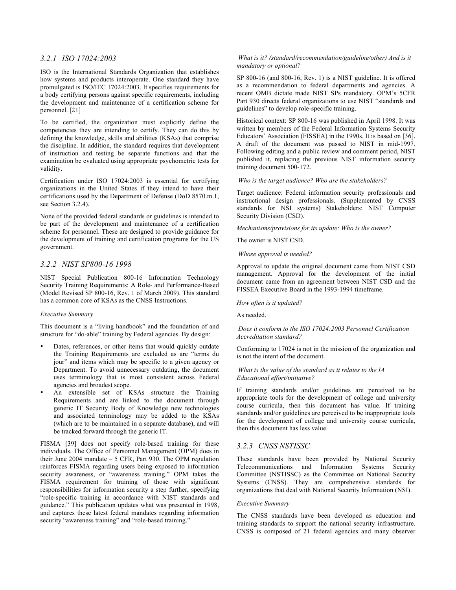### *3.2.1 ISO 17024:2003*

ISO is the International Standards Organization that establishes how systems and products interoperate. One standard they have promulgated is ISO/IEC 17024:2003. It specifies requirements for a body certifying persons against specific requirements, including the development and maintenance of a certification scheme for personnel. [21]

To be certified, the organization must explicitly define the competencies they are intending to certify. They can do this by defining the knowledge, skills and abilities (KSAs) that comprise the discipline. In addition, the standard requires that development of instruction and testing be separate functions and that the examination be evaluated using appropriate psychometric tests for validity.

Certification under ISO 17024:2003 is essential for certifying organizations in the United States if they intend to have their certifications used by the Department of Defense (DoD 8570.m.1, see Section 3.2.4).

None of the provided federal standards or guidelines is intended to be part of the development and maintenance of a certification scheme for personnel. These are designed to provide guidance for the development of training and certification programs for the US government.

### *3.2.2 NIST SP800-16 1998*

NIST Special Publication 800-16 Information Technology Security Training Requirements: A Role- and Performance-Based (Model Revised SP 800-16, Rev. 1 of March 2009). This standard has a common core of KSAs as the CNSS Instructions.

#### *Executive Summary*

This document is a "living handbook" and the foundation of and structure for "do-able" training by Federal agencies. By design:

- Dates, references, or other items that would quickly outdate the Training Requirements are excluded as are "terms du jour" and items which may be specific to a given agency or Department. To avoid unnecessary outdating, the document uses terminology that is most consistent across Federal agencies and broadest scope.
- An extensible set of KSAs structure the Training Requirements and are linked to the document through generic IT Security Body of Knowledge new technologies and associated terminology may be added to the KSAs (which are to be maintained in a separate database), and will be tracked forward through the generic IT.

FISMA [39] does not specify role-based training for these individuals. The Office of Personnel Management (OPM) does in their June 2004 mandate – 5 CFR, Part 930. The OPM regulation reinforces FISMA regarding users being exposed to information security awareness, or "awareness training." OPM takes the FISMA requirement for training of those with significant responsibilities for information security a step further, specifying "role-specific training in accordance with NIST standards and guidance." This publication updates what was presented in 1998, and captures these latest federal mandates regarding information security "awareness training" and "role-based training."

#### *What is it? (standard/recommendation/guideline/other) And is it mandatory or optional?*

SP 800-16 (and 800-16, Rev. 1) is a NIST guideline. It is offered as a recommendation to federal departments and agencies. A recent OMB dictate made NIST SPs mandatory. OPM's 5CFR Part 930 directs federal organizations to use NIST "standards and guidelines" to develop role-specific training.

Historical context: SP 800-16 was published in April 1998. It was written by members of the Federal Information Systems Security Educators' Association (FISSEA) in the 1990s. It is based on [36]. A draft of the document was passed to NIST in mid-1997. Following editing and a public review and comment period, NIST published it, replacing the previous NIST information security training document 500-172.

#### *Who is the target audience? Who are the stakeholders?*

Target audience: Federal information security professionals and instructional design professionals. (Supplemented by CNSS standards for NSI systems) Stakeholders: NIST Computer Security Division (CSD).

*Mechanisms/provisions for its update: Who is the owner?* 

The owner is NIST CSD.

 *Whose approval is needed?* 

Approval to update the original document came from NIST CSD management. Approval for the development of the initial document came from an agreement between NIST CSD and the FISSEA Executive Board in the 1993-1994 timeframe.

#### *How often is it updated?*

#### As needed.

#### *Does it conform to the ISO 17024:2003 Personnel Certification Accreditation standard?*

Conforming to 17024 is not in the mission of the organization and is not the intent of the document.

#### *What is the value of the standard as it relates to the IA Educational effort/initiative?*

If training standards and/or guidelines are perceived to be appropriate tools for the development of college and university course curricula, then this document has value. If training standards and/or guidelines are perceived to be inappropriate tools for the development of college and university course curricula, then this document has less value.

### *3.2.3 CNSS NSTISSC*

These standards have been provided by National Security Telecommunications and Information Systems Security Committee (NSTISSC) as the Committee on National Security Systems (CNSS). They are comprehensive standards for organizations that deal with National Security Information (NSI).

#### *Executive Summary*

The CNSS standards have been developed as education and training standards to support the national security infrastructure. CNSS is composed of 21 federal agencies and many observer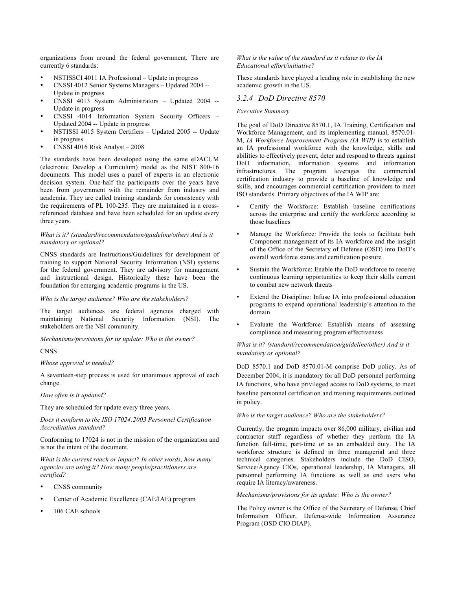organizations from around the federal government. There are currently 6 standards:

- NSTISSCI 4011 IA Professional Update in progress
- CNSSI 4012 Senior Systems Managers Updated 2004 -- Update in progress
- CNSSI 4013 System Administrators Updated 2004 -- Update in progress
- CNSSI 4014 Information System Security Officers Updated 2004 -- Update in progress
- NSTISSI 4015 System Certifiers Updated 2005 -- Update in progress
- CNSSI 4016 Risk Analyst 2008

The standards have been developed using the same eDACUM (electronic Develop a Curriculum) model as the NIST 800-16 documents. This model uses a panel of experts in an electronic decision system. One-half the participants over the years have been from government with the remainder from industry and academia. They are called training standards for consistency with the requirements of PL 100-235. They are maintained in a crossreferenced database and have been scheduled for an update every three years.

#### *What is it? (standard/recommendation/guideline/other) And is it mandatory or optional?*

CNSS standards are Instructions/Guidelines for development of training to support National Security Information (NSI) systems for the federal government. They are advisory for management and instructional design. Historically these have been the foundation for emerging academic programs in the US.

#### *Who is the target audience? Who are the stakeholders?*

The target audiences are federal agencies charged with maintaining National Security Information (NSI). The stakeholders are the NSI community.

*Mechanisms/provisions for its update: Who is the owner?* 

### **CNSS**

### *Whose approval is needed?*

A seventeen-step process is used for unanimous approval of each change.

*How often is it updated?* 

They are scheduled for update every three years.

*Does it conform to the ISO 17024:2003 Personnel Certification Accreditation standard?* 

Conforming to 17024 is not in the mission of the organization and is not the intent of the document.

*What is the current reach or impact? In other words, how many agencies are using it? How many people/practitioners are certified?* 

- CNSS community
- Center of Academic Excellence (CAE/IAE) program
- 106 CAE schools

#### *What is the value of the standard as it relates to the IA Educational effort/initiative?*

These standards have played a leading role in establishing the new academic growth in the US.

### *3.2.4 DoD Directive 8570*

#### *Executive Summary*

The goal of DoD Directive 8570.1, IA Training, Certification and Workforce Management, and its implementing manual, 8570.01- M, *IA Workforce Improvement Program (IA WIP)* is to establish an IA professional workforce with the knowledge, skills and abilities to effectively prevent, deter and respond to threats against DoD information, information systems and information infrastructures. The program leverages the commercial certification industry to provide a baseline of knowledge and skills, and encourages commercial certification providers to meet ISO standards. Primary objectives of the IA WIP are:

- Certify the Workforce: Establish baseline certifications across the enterprise and certify the workforce according to those baselines
- Manage the Workforce: Provide the tools to facilitate both Component management of its IA workforce and the insight of the Office of the Secretary of Defense (OSD) into DoD's overall workforce status and certification posture
- Sustain the Workforce: Enable the DoD workforce to receive continuous learning opportunities to keep their skills current to combat new network threats
- Extend the Discipline: Infuse IA into professional education programs to expand operational leadership's attention to the domain
- Evaluate the Workforce: Establish means of assessing compliance and measuring program effectiveness

*What is it? (standard/recommendation/guideline/other) And is it mandatory or optional?* 

DoD 8570.1 and DoD 8570.01-M comprise DoD policy. As of December 2004, it is mandatory for all DoD personnel performing IA functions, who have privileged access to DoD systems, to meet baseline personnel certification and training requirements outlined in policy.

#### *Who is the target audience? Who are the stakeholders?*

Currently, the program impacts over 86,000 military, civilian and contractor staff regardless of whether they perform the IA function full-time, part-time or as an embedded duty. The IA workforce structure is defined in three managerial and three technical categories. Stakeholders include the DoD CISO, Service/Agency CIOs, operational leadership, IA Managers, all personnel performing IA functions as well as end users who require IA literacy/awareness.

#### *Mechanisms/provisions for its update: Who is the owner?*

The Policy owner is the Office of the Secretary of Defense, Chief Information Officer, Defense-wide Information Assurance Program (OSD CIO DIAP).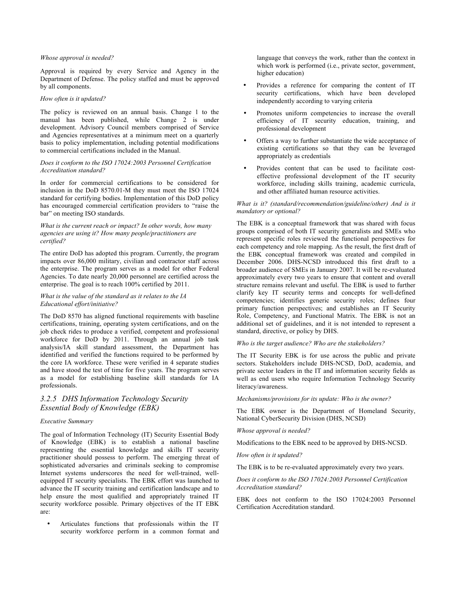#### *Whose approval is needed?*

Approval is required by every Service and Agency in the Department of Defense. The policy staffed and must be approved by all components.

#### *How often is it updated?*

The policy is reviewed on an annual basis. Change 1 to the manual has been published, while Change 2 is under development. Advisory Council members comprised of Service and Agencies representatives at a minimum meet on a quarterly basis to policy implementation, including potential modifications to commercial certifications included in the Manual.

#### *Does it conform to the ISO 17024:2003 Personnel Certification Accreditation standard?*

In order for commercial certifications to be considered for inclusion in the DoD 8570.01-M they must meet the ISO 17024 standard for certifying bodies. Implementation of this DoD policy has encouraged commercial certification providers to "raise the bar" on meeting ISO standards.

*What is the current reach or impact? In other words, how many agencies are using it? How many people/practitioners are certified?* 

The entire DoD has adopted this program. Currently, the program impacts over 86,000 military, civilian and contractor staff across the enterprise. The program serves as a model for other Federal Agencies. To date nearly 20,000 personnel are certified across the enterprise. The goal is to reach 100% certified by 2011.

#### *What is the value of the standard as it relates to the IA Educational effort/initiative?*

The DoD 8570 has aligned functional requirements with baseline certifications, training, operating system certifications, and on the job check rides to produce a verified, competent and professional workforce for DoD by 2011. Through an annual job task analysis/IA skill standard assessment, the Department has identified and verified the functions required to be performed by the core IA workforce. These were verified in 4 separate studies and have stood the test of time for five years. The program serves as a model for establishing baseline skill standards for IA professionals.

# *3.2.5 DHS Information Technology Security Essential Body of Knowledge (EBK)*

#### *Executive Summary*

The goal of Information Technology (IT) Security Essential Body of Knowledge (EBK) is to establish a national baseline representing the essential knowledge and skills IT security practitioner should possess to perform. The emerging threat of sophisticated adversaries and criminals seeking to compromise Internet systems underscores the need for well-trained, wellequipped IT security specialists. The EBK effort was launched to advance the IT security training and certification landscape and to help ensure the most qualified and appropriately trained IT security workforce possible. Primary objectives of the IT EBK are:

• Articulates functions that professionals within the IT security workforce perform in a common format and

language that conveys the work, rather than the context in which work is performed (i.e., private sector, government, higher education)

- Provides a reference for comparing the content of IT security certifications, which have been developed independently according to varying criteria
- Promotes uniform competencies to increase the overall efficiency of IT security education, training, and professional development
- Offers a way to further substantiate the wide acceptance of existing certifications so that they can be leveraged appropriately as credentials
- Provides content that can be used to facilitate costeffective professional development of the IT security workforce, including skills training, academic curricula, and other affiliated human resource activities.

#### *What is it?* (standard/recommendation/guideline/other) And is it *mandatory or optional?*

The EBK is a conceptual framework that was shared with focus groups comprised of both IT security generalists and SMEs who represent specific roles reviewed the functional perspectives for each competency and role mapping. As the result, the first draft of the EBK conceptual framework was created and compiled in December 2006. DHS-NCSD introduced this first draft to a broader audience of SMEs in January 2007. It will be re-evaluated approximately every two years to ensure that content and overall structure remains relevant and useful. The EBK is used to further clarify key IT security terms and concepts for well-defined competencies; identifies generic security roles; defines four primary function perspectives; and establishes an IT Security Role, Competency, and Functional Matrix. The EBK is not an additional set of guidelines, and it is not intended to represent a standard, directive, or policy by DHS.

*Who is the target audience? Who are the stakeholders?* 

The IT Security EBK is for use across the public and private sectors. Stakeholders include DHS-NCSD, DoD, academia, and private sector leaders in the IT and information security fields as well as end users who require Information Technology Security literacy/awareness.

*Mechanisms/provisions for its update: Who is the owner?* 

The EBK owner is the Department of Homeland Security, National CyberSecurity Division (DHS, NCSD)

*Whose approval is needed?* 

Modifications to the EBK need to be approved by DHS-NCSD.

*How often is it updated?* 

The EBK is to be re-evaluated approximately every two years.

*Does it conform to the ISO 17024:2003 Personnel Certification Accreditation standard?* 

EBK does not conform to the ISO 17024:2003 Personnel Certification Accreditation standard.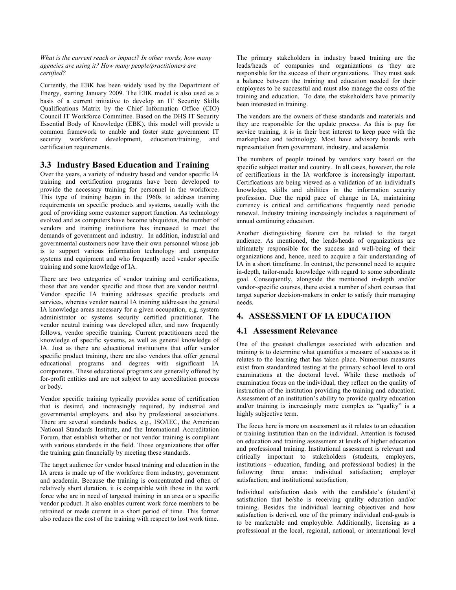#### *What is the current reach or impact? In other words, how many agencies are using it? How many people/practitioners are certified?*

Currently, the EBK has been widely used by the Department of Energy, starting January 2009. The EBK model is also used as a basis of a current initiative to develop an IT Security Skills Qualifications Matrix by the Chief Information Office (CIO) Council IT Workforce Committee. Based on the DHS IT Security Essential Body of Knowledge (EBK), this model will provide a common framework to enable and foster state government IT security workforce development, education/training, and certification requirements.

# **3.3 Industry Based Education and Training**

Over the years, a variety of industry based and vendor specific IA training and certification programs have been developed to provide the necessary training for personnel in the workforce. This type of training began in the 1960s to address training requirements on specific products and systems, usually with the goal of providing some customer support function. As technology evolved and as computers have become ubiquitous, the number of vendors and training institutions has increased to meet the demands of government and industry. In addition, industrial and governmental customers now have their own personnel whose job is to support various information technology and computer systems and equipment and who frequently need vendor specific training and some knowledge of IA.

There are two categories of vendor training and certifications, those that are vendor specific and those that are vendor neutral. Vendor specific IA training addresses specific products and services, whereas vendor neutral IA training addresses the general IA knowledge areas necessary for a given occupation, e.g. system administrator or systems security certified practitioner. The vendor neutral training was developed after, and now frequently follows, vendor specific training. Current practitioners need the knowledge of specific systems, as well as general knowledge of IA. Just as there are educational institutions that offer vendor specific product training, there are also vendors that offer general educational programs and degrees with significant IA components. These educational programs are generally offered by for-profit entities and are not subject to any accreditation process or body.

Vendor specific training typically provides some of certification that is desired, and increasingly required, by industrial and governmental employers, and also by professional associations. There are several standards bodies, e.g., ISO/IEC, the American National Standards Institute, and the International Accreditation Forum, that establish whether or not vendor training is compliant with various standards in the field. Those organizations that offer the training gain financially by meeting these standards.

The target audience for vendor based training and education in the IA areas is made up of the workforce from industry, government and academia. Because the training is concentrated and often of relatively short duration, it is compatible with those in the work force who are in need of targeted training in an area or a specific vendor product. It also enables current work force members to be retrained or made current in a short period of time. This format also reduces the cost of the training with respect to lost work time.

The primary stakeholders in industry based training are the leads/heads of companies and organizations as they are responsible for the success of their organizations. They must seek a balance between the training and education needed for their employees to be successful and must also manage the costs of the training and education. To date, the stakeholders have primarily been interested in training.

The vendors are the owners of these standards and materials and they are responsible for the update process. As this is pay for service training, it is in their best interest to keep pace with the marketplace and technology. Most have advisory boards with representation from government, industry, and academia.

The numbers of people trained by vendors vary based on the specific subject matter and country. In all cases, however, the role of certifications in the IA workforce is increasingly important. Certifications are being viewed as a validation of an individual's knowledge, skills and abilities in the information security profession. Due the rapid pace of change in IA, maintaining currency is critical and certifications frequently need periodic renewal. Industry training increasingly includes a requirement of annual continuing education.

Another distinguishing feature can be related to the target audience. As mentioned, the leads/heads of organizations are ultimately responsible for the success and well-being of their organizations and, hence, need to acquire a fair understanding of IA in a short timeframe. In contrast, the personnel need to acquire in-depth, tailor-made knowledge with regard to some subordinate goal. Consequently, alongside the mentioned in-depth and/or vendor-specific courses, there exist a number of short courses that target superior decision-makers in order to satisfy their managing needs.

# **4. ASSESSMENT OF IA EDUCATION**

# **4.1 Assessment Relevance**

One of the greatest challenges associated with education and training is to determine what quantifies a measure of success as it relates to the learning that has taken place. Numerous measures exist from standardized testing at the primary school level to oral examinations at the doctoral level. While these methods of examination focus on the individual, they reflect on the quality of instruction of the institution providing the training and education. Assessment of an institution's ability to provide quality education and/or training is increasingly more complex as "quality" is a highly subjective term.

The focus here is more on assessment as it relates to an education or training institution than on the individual. Attention is focused on education and training assessment at levels of higher education and professional training. Institutional assessment is relevant and critically important to stakeholders (students, employers, institutions - education, funding, and professional bodies) in the following three areas: individual satisfaction; employer satisfaction; and institutional satisfaction.

Individual satisfaction deals with the candidate's (student's) satisfaction that he/she is receiving quality education and/or training. Besides the individual learning objectives and how satisfaction is derived, one of the primary individual end-goals is to be marketable and employable. Additionally, licensing as a professional at the local, regional, national, or international level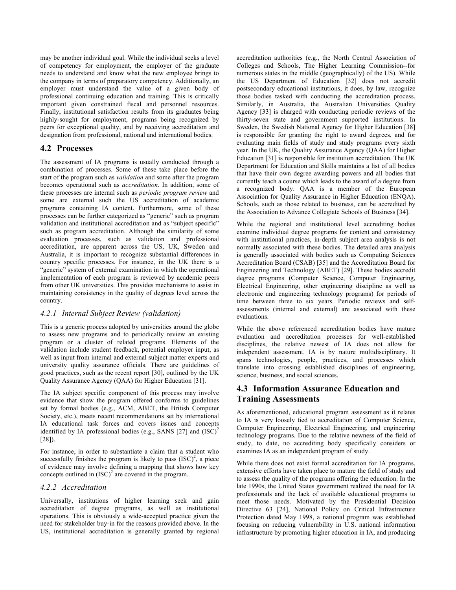may be another individual goal. While the individual seeks a level of competency for employment, the employer of the graduate needs to understand and know what the new employee brings to the company in terms of preparatory competency. Additionally, an employer must understand the value of a given body of professional continuing education and training. This is critically important given constrained fiscal and personnel resources. Finally, institutional satisfaction results from its graduates being highly-sought for employment, programs being recognized by peers for exceptional quality, and by receiving accreditation and designation from professional, national and international bodies.

# **4.2 Processes**

The assessment of IA programs is usually conducted through a combination of processes. Some of these take place before the start of the program such as *validation* and some after the program becomes operational such as *accreditation*. In addition, some of these processes are internal such as *periodic program review* and some are external such the US accreditation of academic programs containing IA content. Furthermore, some of these processes can be further categorized as "generic" such as program validation and institutional accreditation and as "subject specific" such as program accreditation. Although the similarity of some evaluation processes, such as validation and professional accreditation, are apparent across the US, UK, Sweden and Australia, it is important to recognize substantial differences in country specific processes. For instance, in the UK there is a "generic" system of external examination in which the operational implementation of each program is reviewed by academic peers from other UK universities. This provides mechanisms to assist in maintaining consistency in the quality of degrees level across the country.

## *4.2.1 Internal Subject Review (validation)*

This is a generic process adopted by universities around the globe to assess new programs and to periodically review an existing program or a cluster of related programs. Elements of the validation include student feedback, potential employer input, as well as input from internal and external subject matter experts and university quality assurance officials. There are guidelines of good practices, such as the recent report [30], outlined by the UK Quality Assurance Agency (QAA) for Higher Education [31].

The IA subject specific component of this process may involve evidence that show the program offered conforms to guidelines set by formal bodies (e.g., ACM, ABET, the British Computer Society, etc.), meets recent recommendations set by international IA educational task forces and covers issues and concepts identified by IA professional bodies (e.g., SANS  $[27]$  and  $(ISC)^2$ [28]).

For instance, in order to substantiate a claim that a student who successfully finishes the program is likely to pass  $(ISC)^2$ , a piece of evidence may involve defining a mapping that shows how key concepts outlined in  $(ISC)^2$  are covered in the program.

## *4.2.2 Accreditation*

Universally, institutions of higher learning seek and gain accreditation of degree programs, as well as institutional operations. This is obviously a wide-accepted practice given the need for stakeholder buy-in for the reasons provided above. In the US, institutional accreditation is generally granted by regional accreditation authorities (e.g., the North Central Association of Colleges and Schools, The Higher Learning Commission--for numerous states in the middle (geographically) of the US). While the US Department of Education [32] does not accredit postsecondary educational institutions, it does, by law, recognize those bodies tasked with conducting the accreditation process. Similarly, in Australia, the Australian Universities Quality Agency [33] is charged with conducting periodic reviews of the thirty-seven state and government supported institutions. In Sweden, the Swedish National Agency for Higher Education [38] is responsible for granting the right to award degrees, and for evaluating main fields of study and study programs every sixth year. In the UK, the Quality Assurance Agency (QAA) for Higher Education [31] is responsible for institution accreditation. The UK Department for Education and Skills maintains a list of all bodies that have their own degree awarding powers and all bodies that currently teach a course which leads to the award of a degree from a recognized body. QAA is a member of the European Association for Quality Assurance in Higher Education (ENQA). Schools, such as those related to business, can be accredited by the Association to Advance Collegiate Schools of Business [34].

While the regional and institutional level accrediting bodies examine individual degree programs for content and consistency with institutional practices, in-depth subject area analysis is not normally associated with these bodies. The detailed area analysis is generally associated with bodies such as Computing Sciences Accreditation Board (CSAB) [35] and the Accreditation Board for Engineering and Technology (ABET) [29]. These bodies accredit degree programs (Computer Science, Computer Engineering, Electrical Engineering, other engineering discipline as well as electronic and engineering technology programs) for periods of time between three to six years. Periodic reviews and selfassessments (internal and external) are associated with these evaluations.

While the above referenced accreditation bodies have mature evaluation and accreditation processes for well-established disciplines, the relative newest of IA does not allow for independent assessment. IA is by nature multidisciplinary. It spans technologies, people, practices, and processes which translate into crossing established disciplines of engineering, science, business, and social sciences.

# **4.3 Information Assurance Education and Training Assessments**

As aforementioned, educational program assessment as it relates to IA is very loosely tied to accreditation of Computer Science, Computer Engineering, Electrical Engineering, and engineering technology programs. Due to the relative newness of the field of study, to date, no accrediting body specifically considers or examines IA as an independent program of study.

While there does not exist formal accreditation for IA programs, extensive efforts have taken place to mature the field of study and to assess the quality of the programs offering the education. In the late 1990s, the United States government realized the need for IA professionals and the lack of available educational programs to meet those needs. Motivated by the Presidential Decision Directive 63 [24], National Policy on Critical Infrastructure Protection dated May 1998, a national program was established focusing on reducing vulnerability in U.S. national information infrastructure by promoting higher education in IA, and producing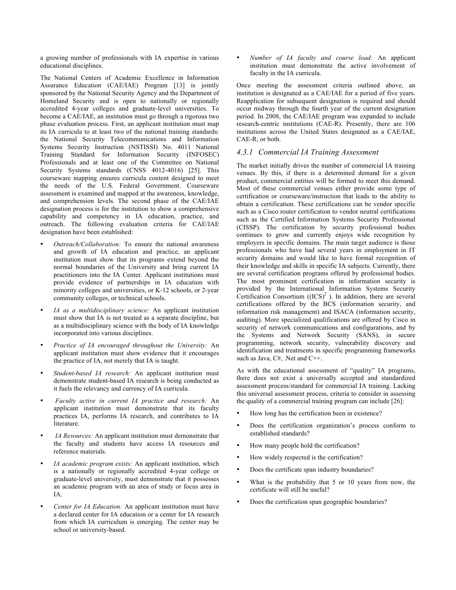a growing number of professionals with IA expertise in various educational disciplines.

The National Centers of Academic Excellence in Information Assurance Education (CAE/IAE) Program [13] is jointly sponsored by the National Security Agency and the Department of Homeland Security and is open to nationally or regionally accredited 4-year colleges and graduate-level universities. To become a CAE/IAE, an institution must go through a rigorous two phase evaluation process. First, an applicant institution must map its IA curricula to at least two of the national training standards: the National Security Telecommunications and Information Systems Security Instruction (NSTISSI) No. 4011 National Training Standard for Information Security (INFOSEC) Professionals and at least one of the Committee on National Security Systems standards (CNSS 4012-4016) [25]. This courseware mapping ensures curricula content designed to meet the needs of the U.S. Federal Government. Courseware assessment is examined and mapped at the awareness, knowledge, and comprehension levels. The second phase of the CAE/IAE designation process is for the institution to show a comprehensive capability and competency in IA education, practice, and outreach. The following evaluation criteria for CAE/IAE designation have been established:

- *Outreach/Collaboration:* To ensure the national awareness and growth of IA education and practice, an applicant institution must show that its programs extend beyond the normal boundaries of the University and bring current IA practitioners into the IA Center. Applicant institutions must provide evidence of partnerships in IA education with minority colleges and universities, or K-12 schools, or 2-year community colleges, or technical schools.
- *IA as a multidisciplinary science:* An applicant institution must show that IA is not treated as a separate discipline, but as a multidisciplinary science with the body of IA knowledge incorporated into various disciplines.
- *Practice of IA encouraged throughout the University:* An applicant institution must show evidence that it encourages the practice of IA, not merely that IA is taught.
- *Student-based IA research:* An applicant institution must demonstrate student-based IA research is being conducted as it fuels the relevancy and currency of IA curricula.
- *Faculty active in current IA practice and research:* An applicant institution must demonstrate that its faculty practices IA, performs IA research, and contributes to IA literature.
- *IA Resources:* An applicant institution must demonstrate that the faculty and students have access IA resources and reference materials.
- *IA academic program exists:* An applicant institution, which is a nationally or regionally accredited 4-year college or graduate-level university, must demonstrate that it possesses an academic program with an area of study or focus area in IA.
- *Center for IA Education:* An applicant institution must have a declared center for IA education or a center for IA research from which IA curriculum is emerging. The center may be school or university-based.

• *Number of IA faculty and course load:* An applicant institution must demonstrate the active involvement of faculty in the IA curricula.

Once meeting the assessment criteria outlined above, an institution is designated as a CAE/IAE for a period of five years. Reapplication for subsequent designation is required and should occur midway through the fourth year of the current designation period. In 2008, the CAE/IAE program was expanded to include research-centric institutions (CAE-R). Presently, there are 106 institutions across the United States designated as a CAE/IAE, CAE-R, or both.

### *4.3.1 Commercial IA Training Assessment*

The market initially drives the number of commercial IA training venues. By this, if there is a determined demand for a given product, commercial entities will be formed to meet this demand. Most of these commercial venues either provide some type of certification or courseware/instruction that leads to the ability to obtain a certification. These certifications can be vendor specific such as a Cisco router certification to vendor neutral certifications such as the Certified Information Systems Security Professional (CISSP). The certification by security professional bodies continues to grow and currently enjoys wide recognition by employers in specific domains. The main target audience is those professionals who have had several years in employment in IT security domains and would like to have formal recognition of their knowledge and skills in specific IA subjects. Currently, there are several certification programs offered by professional bodies. The most prominent certification in information security is provided by the International Information Systems Security Certification Consortium  $((ICS)^2$ ). In addition, there are several certifications offered by the BCS (information security, and information risk management) and ISACA (information security, auditing). More specialized qualifications are offered by Cisco in security of network communications and configurations, and by the Systems and Network Security (SANS), in secure programming, network security, vulnerability discovery and identification and treatments in specific programming frameworks such as Java,  $C#$ , .Net and  $C++$ .

As with the educational assessment of "quality" IA programs, there does not exist a universally accepted and standardized assessment process/standard for commercial IA training. Lacking this universal assessment process, criteria to consider in assessing the quality of a commercial training program can include [26]:

- How long has the certification been in existence?
- Does the certification organization's process conform to established standards?
- How many people hold the certification?
- How widely respected is the certification?
- Does the certificate span industry boundaries?
- What is the probability that 5 or 10 years from now, the certificate will still be useful?
- Does the certification span geographic boundaries?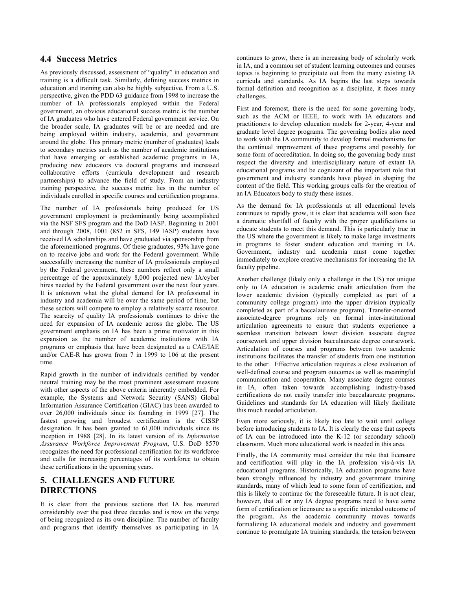# **4.4 Success Metrics**

As previously discussed, assessment of "quality" in education and training is a difficult task. Similarly, defining success metrics in education and training can also be highly subjective. From a U.S. perspective, given the PDD 63 guidance from 1998 to increase the number of IA professionals employed within the Federal government, an obvious educational success metric is the number of IA graduates who have entered Federal government service. On the broader scale, IA graduates will be or are needed and are being employed within industry, academia, and government around the globe. This primary metric (number of graduates) leads to secondary metrics such as the number of academic institutions that have emerging or established academic programs in IA, producing new educators via doctoral programs and increased collaborative efforts (curricula development and research partnerships) to advance the field of study. From an industry training perspective, the success metric lies in the number of individuals enrolled in specific courses and certification programs.

The number of IA professionals being produced for US government employment is predominantly being accomplished via the NSF SFS program and the DoD IASP. Beginning in 2001 and through 2008, 1001 (852 in SFS, 149 IASP) students have received IA scholarships and have graduated via sponsorship from the aforementioned programs. Of these graduates, 93% have gone on to receive jobs and work for the Federal government. While successfully increasing the number of IA professionals employed by the Federal government, these numbers reflect only a small percentage of the approximately 8,000 projected new IA/cyber hires needed by the Federal government over the next four years. It is unknown what the global demand for IA professional in industry and academia will be over the same period of time, but these sectors will compete to employ a relatively scarce resource. The scarcity of quality IA professionals continues to drive the need for expansion of IA academic across the globe. The US government emphasis on IA has been a prime motivator in this expansion as the number of academic institutions with IA programs or emphasis that have been designated as a CAE/IAE and/or CAE-R has grown from 7 in 1999 to 106 at the present time.

Rapid growth in the number of individuals certified by vendor neutral training may be the most prominent assessment measure with other aspects of the above criteria inherently embedded. For example, the Systems and Network Security (SANS) Global Information Assurance Certification (GIAC) has been awarded to over 26,000 individuals since its founding in 1999 [27]. The fastest growing and broadest certification is the CISSP designation. It has been granted to 61,000 individuals since its inception in 1988 [28]. In its latest version of its *Information Assurance Workforce Improvement Program*, U.S. DoD 8570 recognizes the need for professional certification for its workforce and calls for increasing percentages of its workforce to obtain these certifications in the upcoming years.

# **5. CHALLENGES AND FUTURE DIRECTIONS**

It is clear from the previous sections that IA has matured considerably over the past three decades and is now on the verge of being recognized as its own discipline. The number of faculty and programs that identify themselves as participating in IA

continues to grow, there is an increasing body of scholarly work in IA, and a common set of student learning outcomes and courses topics is beginning to precipitate out from the many existing IA curricula and standards. As IA begins the last steps towards formal definition and recognition as a discipline, it faces many challenges.

First and foremost, there is the need for some governing body, such as the ACM or IEEE, to work with IA educators and practitioners to develop education models for 2-year, 4-year and graduate level degree programs. The governing bodies also need to work with the IA community to develop formal mechanisms for the continual improvement of these programs and possibly for some form of accreditation. In doing so, the governing body must respect the diversity and interdisciplinary nature of extant IA educational programs and be cognizant of the important role that government and industry standards have played in shaping the content of the field. This working groups calls for the creation of an IA Educators body to study these issues.

As the demand for IA professionals at all educational levels continues to rapidly grow, it is clear that academia will soon face a dramatic shortfall of faculty with the proper qualifications to educate students to meet this demand. This is particularly true in the US where the government is likely to make large investments in programs to foster student education and training in IA. Government, industry and academia must come together immediately to explore creative mechanisms for increasing the IA faculty pipeline.

Another challenge (likely only a challenge in the US) not unique only to IA education is academic credit articulation from the lower academic division (typically completed as part of a community college program) into the upper division (typically completed as part of a baccalaureate program). Transfer-oriented associate-degree programs rely on formal inter-institutional articulation agreements to ensure that students experience a seamless transition between lower division associate degree coursework and upper division baccalaureate degree coursework. Articulation of courses and programs between two academic institutions facilitates the transfer of students from one institution to the other. Effective articulation requires a close evaluation of well-defined course and program outcomes as well as meaningful communication and cooperation. Many associate degree courses in IA, often taken towards accomplishing industry-based certifications do not easily transfer into baccalaureate programs. Guidelines and standards for IA education will likely facilitate this much needed articulation.

Even more seriously, it is likely too late to wait until college before introducing students to IA. It is clearly the case that aspects of IA can be introduced into the K-12 (or secondary school) classroom. Much more educational work is needed in this area.

Finally, the IA community must consider the role that licensure and certification will play in the IA profession vis-à-vis IA educational programs. Historically, IA education programs have been strongly influenced by industry and government training standards, many of which lead to some form of certification, and this is likely to continue for the foreseeable future. It is not clear, however, that all or any IA degree programs need to have some form of certification or licensure as a specific intended outcome of the program. As the academic community moves towards formalizing IA educational models and industry and government continue to promulgate IA training standards, the tension between